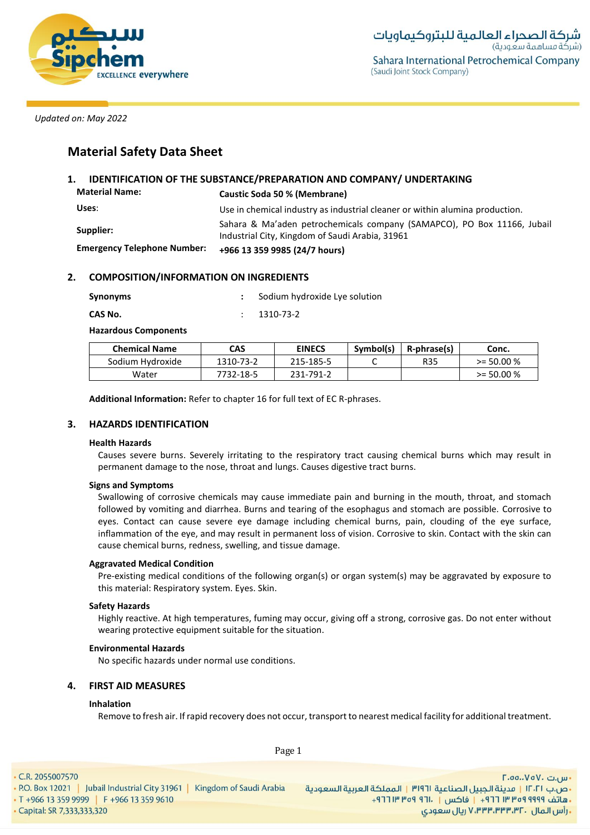

# **Material Safety Data Sheet**

## **1. IDENTIFICATION OF THE SUBSTANCE/PREPARATION AND COMPANY/ UNDERTAKING Material Name: Caustic Soda 50 % (Membrane) Uses**: Use in chemical industry as industrial cleaner or within alumina production. Sahara & Ma'aden petrochemicals company (SAMAPCO), PO Box 11166, Jubail<br>
Supplier:<br>
Sanara Sanara Sanara Sanara Sanara Sanara Sanara Sanara Sanara Sanara Sanara Sanara Sanara Sanara Sanara Sanar Industrial City, Kingdom of Saudi Arabia, 31961 **Emergency Telephone Number: +966 13 359 9985 (24/7 hours)**

### **2. COMPOSITION/INFORMATION ON INGREDIENTS**

| Synonyms |  | Sodium hydroxide Lye solution |
|----------|--|-------------------------------|
|----------|--|-------------------------------|

**CAS No.** : 1310-73-2

**Hazardous Components**

| <b>Chemical Name</b> | CAS       | <b>EINECS</b> | Symbol(s) | R-phrase(s) | Conc.        |
|----------------------|-----------|---------------|-----------|-------------|--------------|
| Sodium Hydroxide     | 1310-73-2 | 215-185-5     |           | <b>R35</b>  | $>= 50.00 %$ |
| Water                | 7732-18-5 | 231-791-2     |           |             | $>= 50.00 %$ |

**Additional Information:** Refer to chapter 16 for full text of EC R-phrases.

### **3. HAZARDS IDENTIFICATION**

#### **Health Hazards**

Causes severe burns. Severely irritating to the respiratory tract causing chemical burns which may result in permanent damage to the nose, throat and lungs. Causes digestive tract burns.

### **Signs and Symptoms**

Swallowing of corrosive chemicals may cause immediate pain and burning in the mouth, throat, and stomach followed by vomiting and diarrhea. Burns and tearing of the esophagus and stomach are possible. Corrosive to eyes. Contact can cause severe eye damage including chemical burns, pain, clouding of the eye surface, inflammation of the eye, and may result in permanent loss of vision. Corrosive to skin. Contact with the skin can cause chemical burns, redness, swelling, and tissue damage.

### **Aggravated Medical Condition**

Pre-existing medical conditions of the following organ(s) or organ system(s) may be aggravated by exposure to this material: Respiratory system. Eyes. Skin.

### **Safety Hazards**

Highly reactive. At high temperatures, fuming may occur, giving off a strong, corrosive gas. Do not enter without wearing protective equipment suitable for the situation.

### **Environmental Hazards**

No specific hazards under normal use conditions.

### **4. FIRST AID MEASURES**

### **Inhalation**

Remove to fresh air. If rapid recovery does not occur, transport to nearest medical facility for additional treatment.

• C.R. 2055007570

Page 1

· Capital: SR 7,333,333,320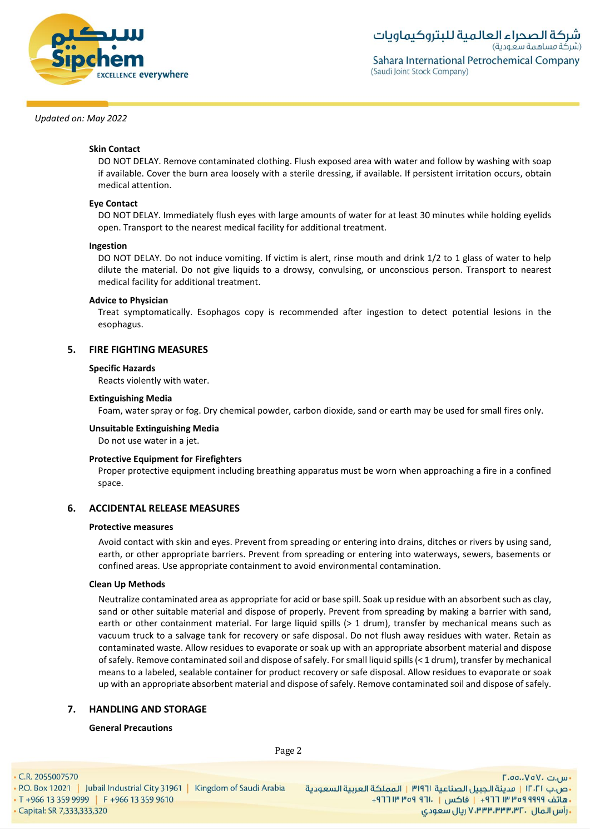

### **Skin Contact**

DO NOT DELAY. Remove contaminated clothing. Flush exposed area with water and follow by washing with soap if available. Cover the burn area loosely with a sterile dressing, if available. If persistent irritation occurs, obtain medical attention.

### **Eye Contact**

DO NOT DELAY. Immediately flush eyes with large amounts of water for at least 30 minutes while holding eyelids open. Transport to the nearest medical facility for additional treatment.

#### **Ingestion**

DO NOT DELAY. Do not induce vomiting. If victim is alert, rinse mouth and drink 1/2 to 1 glass of water to help dilute the material. Do not give liquids to a drowsy, convulsing, or unconscious person. Transport to nearest medical facility for additional treatment.

#### **Advice to Physician**

Treat symptomatically. Esophagos copy is recommended after ingestion to detect potential lesions in the esophagus.

#### **5. FIRE FIGHTING MEASURES**

#### **Specific Hazards**

Reacts violently with water.

#### **Extinguishing Media**

Foam, water spray or fog. Dry chemical powder, carbon dioxide, sand or earth may be used for small fires only.

#### **Unsuitable Extinguishing Media**

Do not use water in a jet.

#### **Protective Equipment for Firefighters**

Proper protective equipment including breathing apparatus must be worn when approaching a fire in a confined space.

### **6. ACCIDENTAL RELEASE MEASURES**

#### **Protective measures**

Avoid contact with skin and eyes. Prevent from spreading or entering into drains, ditches or rivers by using sand, earth, or other appropriate barriers. Prevent from spreading or entering into waterways, sewers, basements or confined areas. Use appropriate containment to avoid environmental contamination.

#### **Clean Up Methods**

Neutralize contaminated area as appropriate for acid or base spill. Soak up residue with an absorbent such as clay, sand or other suitable material and dispose of properly. Prevent from spreading by making a barrier with sand, earth or other containment material. For large liquid spills (> 1 drum), transfer by mechanical means such as vacuum truck to a salvage tank for recovery or safe disposal. Do not flush away residues with water. Retain as contaminated waste. Allow residues to evaporate or soak up with an appropriate absorbent material and dispose of safely. Remove contaminated soil and dispose of safely. For small liquid spills (< 1 drum), transfer by mechanical means to a labeled, sealable container for product recovery or safe disposal. Allow residues to evaporate or soak up with an appropriate absorbent material and dispose of safely. Remove contaminated soil and dispose of safely.

#### **7. HANDLING AND STORAGE**

#### **General Precautions**

Page 2

• C.R. 2055007570

• Capital: SR 7,333,333,320

اس.ت ۷۵۷۰، ۲.۵۵.۰۷۵ - ص.ب IT**.TI | مدينة الجبيل الصناعية P.O. Box 12021 | Jubail Industrial City 31961 | Kingdom of Saudi Arabia |<br>- هاتف PPP 9999 | F +966 13 359 9610 | F +966 13 359 9610 | F +966 13 359 9610 | 9999 | F +966 13 359 9999 | F , رأس المال ۷٬۳۳۳٬۳۳۳٬۳۲۰ ریال سعودی**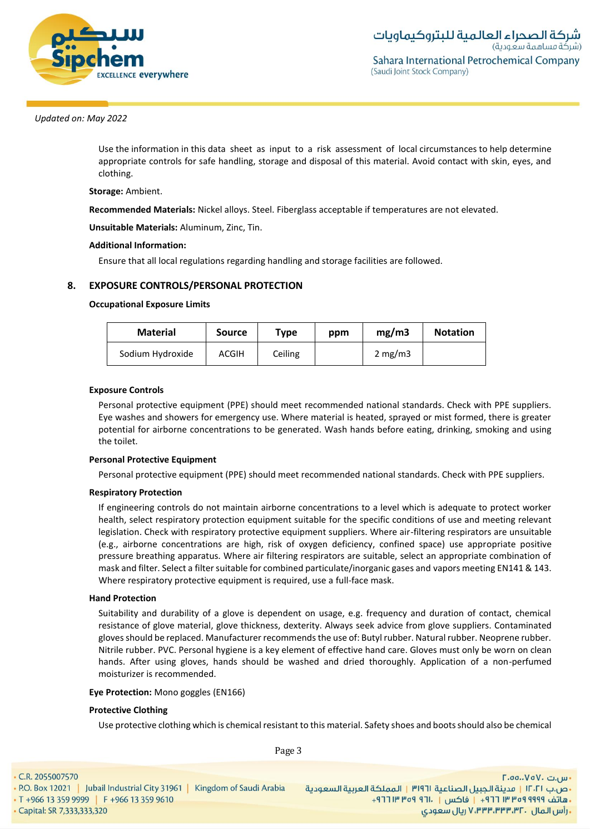

Use the information in this data sheet as input to a risk assessment of local circumstances to help determine appropriate controls for safe handling, storage and disposal of this material. Avoid contact with skin, eyes, and clothing.

### **Storage:** Ambient.

**Recommended Materials:** Nickel alloys. Steel. Fiberglass acceptable if temperatures are not elevated.

**Unsuitable Materials:** Aluminum, Zinc, Tin.

### **Additional Information:**

Ensure that all local regulations regarding handling and storage facilities are followed.

### **8. EXPOSURE CONTROLS/PERSONAL PROTECTION**

### **Occupational Exposure Limits**

| <b>Material</b>  | <b>Source</b> | Type    | ppm | mg/m3      | <b>Notation</b> |
|------------------|---------------|---------|-----|------------|-----------------|
| Sodium Hydroxide | ACGIH         | Ceiling |     | 2 mg/m $3$ |                 |

### **Exposure Controls**

Personal protective equipment (PPE) should meet recommended national standards. Check with PPE suppliers. Eye washes and showers for emergency use. Where material is heated, sprayed or mist formed, there is greater potential for airborne concentrations to be generated. Wash hands before eating, drinking, smoking and using the toilet.

### **Personal Protective Equipment**

Personal protective equipment (PPE) should meet recommended national standards. Check with PPE suppliers.

### **Respiratory Protection**

If engineering controls do not maintain airborne concentrations to a level which is adequate to protect worker health, select respiratory protection equipment suitable for the specific conditions of use and meeting relevant legislation. Check with respiratory protective equipment suppliers. Where air-filtering respirators are unsuitable (e.g., airborne concentrations are high, risk of oxygen deficiency, confined space) use appropriate positive pressure breathing apparatus. Where air filtering respirators are suitable, select an appropriate combination of mask and filter. Select a filter suitable for combined particulate/inorganic gases and vapors meeting EN141 & 143. Where respiratory protective equipment is required, use a full-face mask.

#### **Hand Protection**

Suitability and durability of a glove is dependent on usage, e.g. frequency and duration of contact, chemical resistance of glove material, glove thickness, dexterity. Always seek advice from glove suppliers. Contaminated gloves should be replaced. Manufacturer recommends the use of: Butyl rubber. Natural rubber. Neoprene rubber. Nitrile rubber. PVC. Personal hygiene is a key element of effective hand care. Gloves must only be worn on clean hands. After using gloves, hands should be washed and dried thoroughly. Application of a non-perfumed moisturizer is recommended.

#### **Eye Protection:** Mono goggles (EN166)

#### **Protective Clothing**

Use protective clothing which is chemical resistant to this material. Safety shoes and boots should also be chemical

Page 3

• C.R. 2055007570 ∙س.ت ۷۵۷۰، ۲.۵۵.۰ - ص.ب IT، السعردية الجبيل الصناعية 1911 | المملكة العربية السعودية | 1961 P.O. Box 12021 | Jubail Industrial City 31961 | Kingdom of Saudi Arabia<br>- هاتف 1999 Pre 13 359 9999 | F +966 13 359 9610 . [19] Tre of 911. [19] 19 · Capital: SR 7,333,333,320 **. رأس المال ۷٬۳۳۳٬۳۳۳٬۳۲۰ ریال سعودی**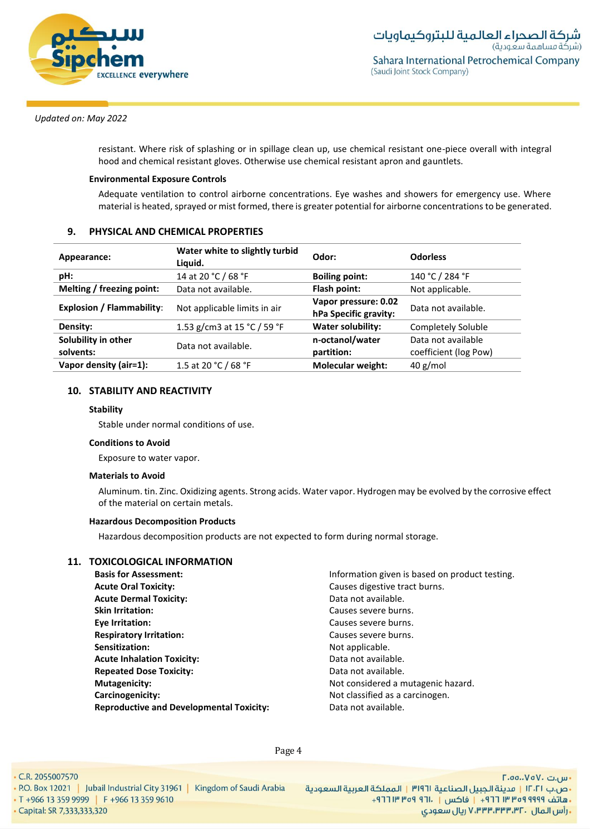

resistant. Where risk of splashing or in spillage clean up, use chemical resistant one-piece overall with integral hood and chemical resistant gloves. Otherwise use chemical resistant apron and gauntlets.

### **Environmental Exposure Controls**

Adequate ventilation to control airborne concentrations. Eye washes and showers for emergency use. Where material is heated, sprayed or mist formed, there is greater potential for airborne concentrations to be generated.

### **9. PHYSICAL AND CHEMICAL PROPERTIES**

| Appearance:                      | Water white to slightly turbid<br>Liquid. | Odor:                                         | <b>Odorless</b>                             |
|----------------------------------|-------------------------------------------|-----------------------------------------------|---------------------------------------------|
| pH:                              | 14 at 20 °C / 68 °F                       | <b>Boiling point:</b>                         | 140 °C / 284 °F                             |
| Melting / freezing point:        | Data not available.                       | Flash point:                                  | Not applicable.                             |
| <b>Explosion / Flammability:</b> | Not applicable limits in air              | Vapor pressure: 0.02<br>hPa Specific gravity: | Data not available.                         |
| Density:                         | 1.53 g/cm3 at 15 °C / 59 °F               | <b>Water solubility:</b>                      | Completely Soluble                          |
| Solubility in other<br>solvents: | Data not available.                       | n-octanol/water<br>partition:                 | Data not available<br>coefficient (log Pow) |
| Vapor density (air=1):           | 1.5 at 20 °C / 68 °F                      | <b>Molecular weight:</b>                      | $40$ g/mol                                  |

### **10. STABILITY AND REACTIVITY**

#### **Stability**

Stable under normal conditions of use.

#### **Conditions to Avoid**

Exposure to water vapor.

#### **Materials to Avoid**

Aluminum. tin. Zinc. Oxidizing agents. Strong acids. Water vapor. Hydrogen may be evolved by the corrosive effect of the material on certain metals.

#### **Hazardous Decomposition Products**

Hazardous decomposition products are not expected to form during normal storage.

### **11. TOXICOLOGICAL INFORMATION**

- **Basis for Assessment:** Information given is based on product testing. **Acute Oral Toxicity:** Causes digestive tract burns. **Acute Dermal Toxicity: Contract Acute Data not available. Skin Irritation: Causes severe burns. Eye Irritation:** Causes severe burns. **Respiratory Irritation:** Causes severe burns. **Sensitization:** Not applicable. **Acute Inhalation Toxicity:** The Controllection of a Data not available. **Repeated Dose Toxicity: Construction Construction Construction Construction Construction Construction Construction Construction Construction Construction Construction Construction Construction Construction Construction Mutagenicity:** Not considered a mutagenic hazard. **Carcinogenicity:**  $\qquad \qquad \qquad$  Not classified as a carcinogen. **Reproductive and Developmental Toxicity:** Data not available.
	-

Page 4

• C.R. 2055007570 - ص.ب IT، 1 | مدينة الجبيل الصناعية 1191 | المملكة العربية السعودية | P.O. Box 12021 | Jubail Industrial City 31961 | Kingdom of Saudi Arabia<br>- هاتف 1999 Pr +966 13 359 9999 | F +966 13 359 9610 · Capital: SR 7,333,333,320

- س.ت ۷۵۷۰، ۲.۵۵.۰۷۵ **. رأس المال ۷٬۳۳۳٬۳۳۰٬۳۲۰ ريال سعودی**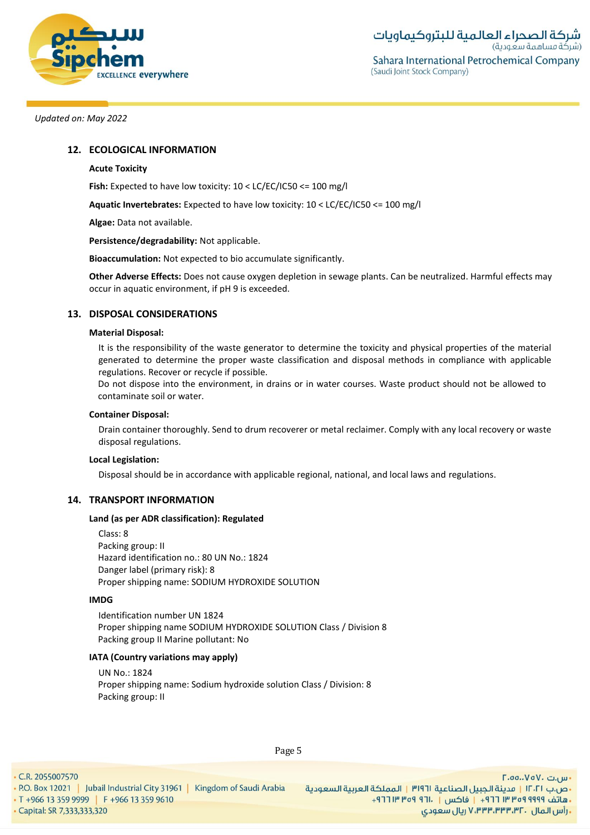

### **12. ECOLOGICAL INFORMATION**

### **Acute Toxicity**

**Fish:** Expected to have low toxicity: 10 < LC/EC/IC50 <= 100 mg/l

**Aquatic Invertebrates:** Expected to have low toxicity: 10 < LC/EC/IC50 <= 100 mg/l

**Algae:** Data not available.

**Persistence/degradability:** Not applicable.

**Bioaccumulation:** Not expected to bio accumulate significantly.

**Other Adverse Effects:** Does not cause oxygen depletion in sewage plants. Can be neutralized. Harmful effects may occur in aquatic environment, if pH 9 is exceeded.

### **13. DISPOSAL CONSIDERATIONS**

#### **Material Disposal:**

It is the responsibility of the waste generator to determine the toxicity and physical properties of the material generated to determine the proper waste classification and disposal methods in compliance with applicable regulations. Recover or recycle if possible.

Do not dispose into the environment, in drains or in water courses. Waste product should not be allowed to contaminate soil or water.

#### **Container Disposal:**

Drain container thoroughly. Send to drum recoverer or metal reclaimer. Comply with any local recovery or waste disposal regulations.

#### **Local Legislation:**

Disposal should be in accordance with applicable regional, national, and local laws and regulations.

## **14. TRANSPORT INFORMATION**

#### **Land (as per ADR classification): Regulated**

Class: 8 Packing group: II Hazard identification no.: 80 UN No.: 1824 Danger label (primary risk): 8 Proper shipping name: SODIUM HYDROXIDE SOLUTION

#### **IMDG**

Identification number UN 1824 Proper shipping name SODIUM HYDROXIDE SOLUTION Class / Division 8 Packing group II Marine pollutant: No

#### **IATA (Country variations may apply)**

UN No.: 1824 Proper shipping name: Sodium hydroxide solution Class / Division: 8 Packing group: II

• C.R. 2055007570

· Capital: SR 7,333,333,320

Page 5

- س.ت ۷۵۷۰، ۲.۵۵.۰۷۵ **. رأس المال ۷٬۳۳۳٬۳۳۳٬۳۲۰ ریال سعودی**